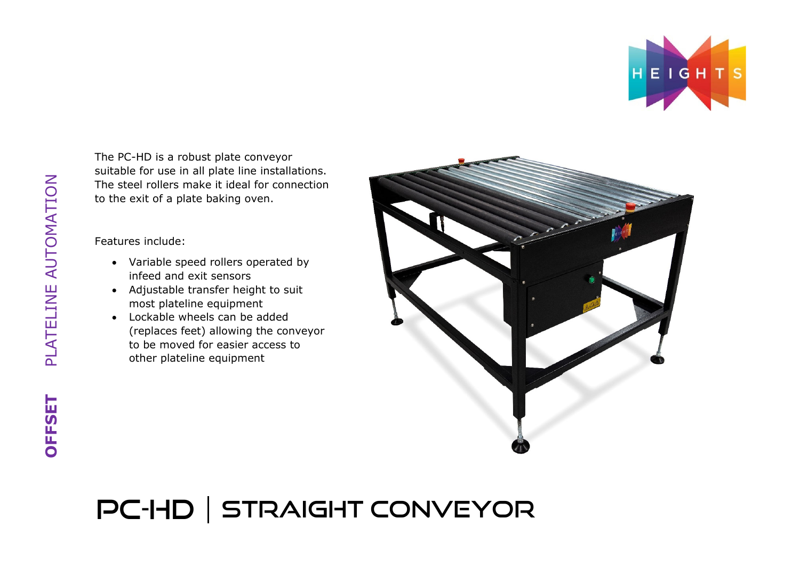

The PC-HD is a robust plate conveyor suitable for use in all plate line installations. The steel rollers make it ideal for connection to the exit of a plate baking oven.

Features include:

- Variable speed rollers operated by infeed and exit sensors
- Adjustable transfer height to suit most plateline equipment
- Lockable wheels can be added (replaces feet) allowing the conveyor to be moved for easier access to other plateline equipment



## PC-HD | STRAIGHT CONVEYOR